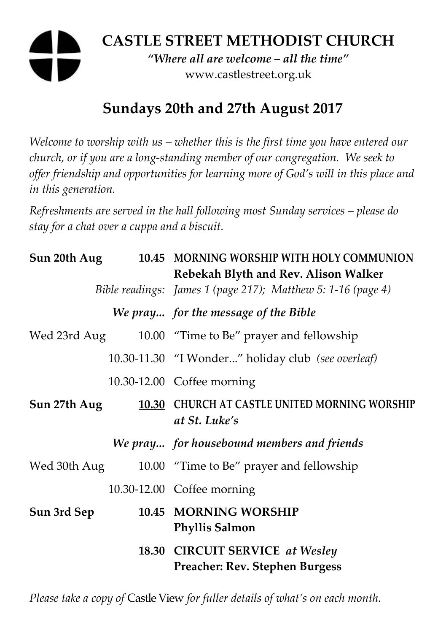# **CASTLE STREET METHODIST CHURCH**

*"Where all are welcome – all the time"*  www.castlestreet.org.uk

# **Sundays 20th and 27th August 2017**

*Welcome to worship with us – whether this is the first time you have entered our church, or if you are a long-standing member of our congregation. We seek to offer friendship and opportunities for learning more of God's will in this place and in this generation.* 

*Refreshments are served in the hall following most Sunday services – please do stay for a chat over a cuppa and a biscuit.* 

| Sun 20th Aug |       | 10.45 MORNING WORSHIP WITH HOLY COMMUNION<br>Rebekah Blyth and Rev. Alison Walker<br>Bible readings: James 1 (page 217); Matthew 5: 1-16 (page 4) |
|--------------|-------|---------------------------------------------------------------------------------------------------------------------------------------------------|
|              |       | We pray for the message of the Bible                                                                                                              |
| Wed 23rd Aug |       | 10.00 "Time to Be" prayer and fellowship                                                                                                          |
|              |       | 10.30-11.30 "I Wonder" holiday club (see overleaf)                                                                                                |
|              |       | 10.30-12.00 Coffee morning                                                                                                                        |
| Sun 27th Aug | 10.30 | CHURCH AT CASTLE UNITED MORNING WORSHIP<br>at St. Luke's                                                                                          |
|              |       | We pray for housebound members and friends                                                                                                        |
| Wed 30th Aug |       | 10.00 "Time to Be" prayer and fellowship                                                                                                          |
|              |       | 10.30-12.00 Coffee morning                                                                                                                        |
| Sun 3rd Sep  |       | 10.45 MORNING WORSHIP<br><b>Phyllis Salmon</b>                                                                                                    |
|              |       | 18.30 CIRCUIT SERVICE at Wesley<br><b>Preacher: Rev. Stephen Burgess</b>                                                                          |

*Please take a copy of* Castle View *for fuller details of what's on each month.*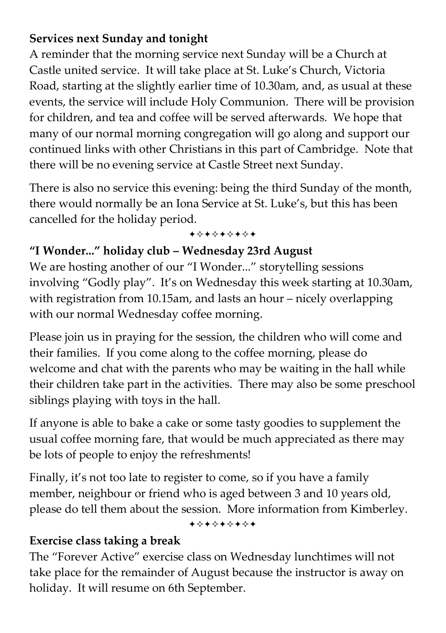### **Services next Sunday and tonight**

A reminder that the morning service next Sunday will be a Church at Castle united service. It will take place at St. Luke's Church, Victoria Road, starting at the slightly earlier time of 10.30am, and, as usual at these events, the service will include Holy Communion. There will be provision for children, and tea and coffee will be served afterwards. We hope that many of our normal morning congregation will go along and support our continued links with other Christians in this part of Cambridge. Note that there will be no evening service at Castle Street next Sunday.

There is also no service this evening: being the third Sunday of the month, there would normally be an Iona Service at St. Luke's, but this has been cancelled for the holiday period.

+\*\*\*\*\*\*\*

#### **"I Wonder..." holiday club – Wednesday 23rd August**

We are hosting another of our "I Wonder..." storytelling sessions involving "Godly play". It's on Wednesday this week starting at 10.30am, with registration from 10.15am, and lasts an hour – nicely overlapping with our normal Wednesday coffee morning.

Please join us in praying for the session, the children who will come and their families. If you come along to the coffee morning, please do welcome and chat with the parents who may be waiting in the hall while their children take part in the activities. There may also be some preschool siblings playing with toys in the hall.

If anyone is able to bake a cake or some tasty goodies to supplement the usual coffee morning fare, that would be much appreciated as there may be lots of people to enjoy the refreshments!

Finally, it's not too late to register to come, so if you have a family member, neighbour or friend who is aged between 3 and 10 years old, please do tell them about the session. More information from Kimberley.

+\*\*\*\*\*\*\*

#### **Exercise class taking a break**

The "Forever Active" exercise class on Wednesday lunchtimes will not take place for the remainder of August because the instructor is away on holiday. It will resume on 6th September.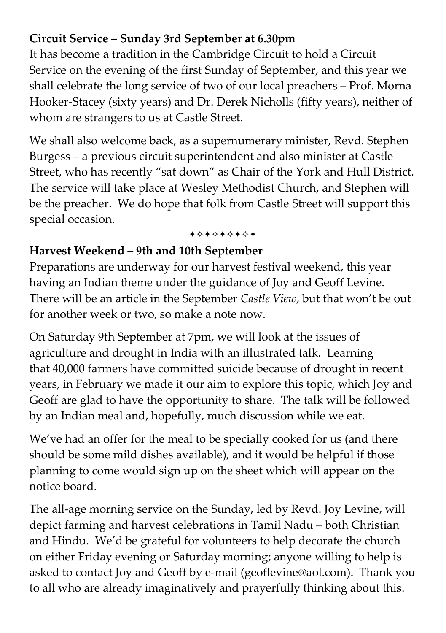## **Circuit Service – Sunday 3rd September at 6.30pm**

It has become a tradition in the Cambridge Circuit to hold a Circuit Service on the evening of the first Sunday of September, and this year we shall celebrate the long service of two of our local preachers – Prof. Morna Hooker-Stacey (sixty years) and Dr. Derek Nicholls (fifty years), neither of whom are strangers to us at Castle Street.

We shall also welcome back, as a supernumerary minister, Revd. Stephen Burgess – a previous circuit superintendent and also minister at Castle Street, who has recently "sat down" as Chair of the York and Hull District. The service will take place at Wesley Methodist Church, and Stephen will be the preacher. We do hope that folk from Castle Street will support this special occasion.

#### +\*\*\*\*\*\*\*

#### **Harvest Weekend – 9th and 10th September**

Preparations are underway for our harvest festival weekend, this year having an Indian theme under the guidance of Joy and Geoff Levine. There will be an article in the September *Castle View*, but that won't be out for another week or two, so make a note now.

On Saturday 9th September at 7pm, we will look at the issues of agriculture and drought in India with an illustrated talk. Learning that 40,000 farmers have committed suicide because of drought in recent years, in February we made it our aim to explore this topic, which Joy and Geoff are glad to have the opportunity to share. The talk will be followed by an Indian meal and, hopefully, much discussion while we eat.

We've had an offer for the meal to be specially cooked for us (and there should be some mild dishes available), and it would be helpful if those planning to come would sign up on the sheet which will appear on the notice board.

The all-age morning service on the Sunday, led by Revd. Joy Levine, will depict farming and harvest celebrations in Tamil Nadu – both Christian and Hindu. We'd be grateful for volunteers to help decorate the church on either Friday evening or Saturday morning; anyone willing to help is asked to contact Joy and Geoff by e-mail (geoflevine@aol.com). Thank you to all who are already imaginatively and prayerfully thinking about this.